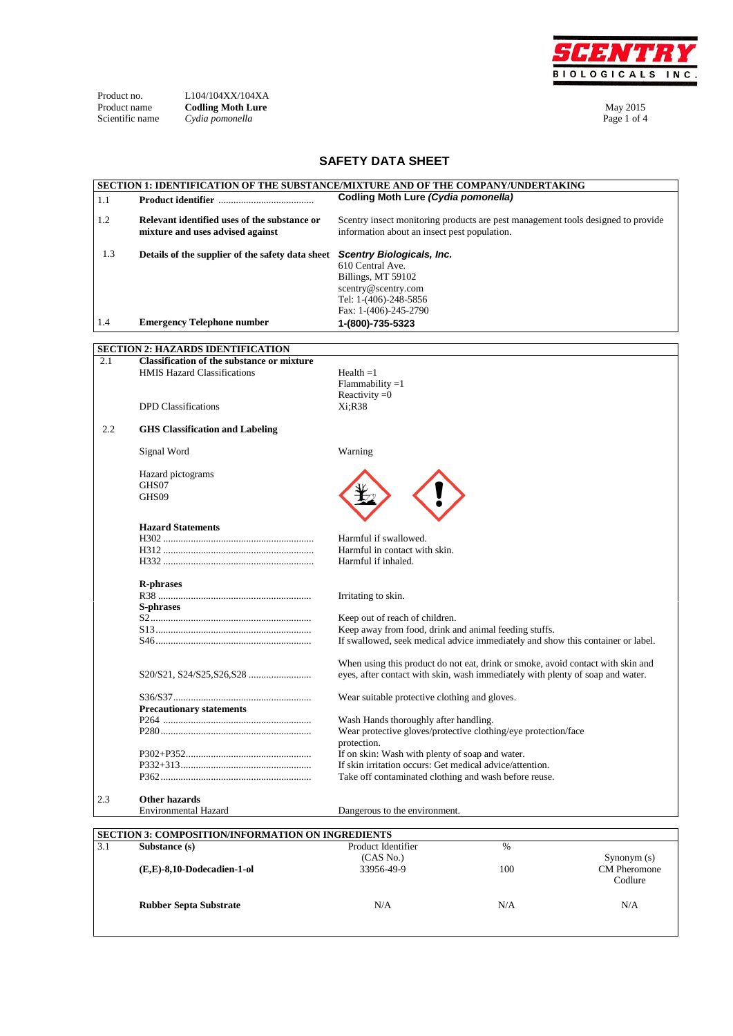

| Product no.     |  |
|-----------------|--|
| Product name    |  |
| Scientific name |  |

Product no. L104/104XX/104XA **Product name Codling Moth Lure Codling Moth Lure May 2015** Scientific name *Cydia pomonella* **Page 1 of 4** and 2 of 4 and 2 of 4 and 2 of 4 and 2 of 4 and 2 of 4 and 2 of 4 and 2 of 4 and 2 of 4 and 2 of 4 and 2 of 4 and 2 of 4 and 2 of 4 and 2 of 4 and 2 of 4 and 2 of 4 and 2 of

## **SAFETY DATA SHEET**

|     | SECTION 1: IDENTIFICATION OF THE SUBSTANCE/MIXTURE AND OF THE COMPANY/UNDERTAKING             |                                                          |                                                                                  |               |
|-----|-----------------------------------------------------------------------------------------------|----------------------------------------------------------|----------------------------------------------------------------------------------|---------------|
| 1.1 |                                                                                               | Codling Moth Lure (Cydia pomonella)                      |                                                                                  |               |
|     |                                                                                               |                                                          |                                                                                  |               |
| 1.2 | Relevant identified uses of the substance or                                                  |                                                          | Scentry insect monitoring products are pest management tools designed to provide |               |
|     | mixture and uses advised against                                                              | information about an insect pest population.             |                                                                                  |               |
|     |                                                                                               |                                                          |                                                                                  |               |
| 1.3 | Details of the supplier of the safety data sheet                                              | <b>Scentry Biologicals, Inc.</b>                         |                                                                                  |               |
|     |                                                                                               | 610 Central Ave.                                         |                                                                                  |               |
|     |                                                                                               | Billings, MT 59102                                       |                                                                                  |               |
|     |                                                                                               | scentry@scentry.com                                      |                                                                                  |               |
|     |                                                                                               | Tel: 1-(406)-248-5856                                    |                                                                                  |               |
|     |                                                                                               | Fax: 1-(406)-245-2790                                    |                                                                                  |               |
| 1.4 | <b>Emergency Telephone number</b>                                                             | 1-(800)-735-5323                                         |                                                                                  |               |
|     |                                                                                               |                                                          |                                                                                  |               |
|     |                                                                                               |                                                          |                                                                                  |               |
|     | <b>SECTION 2: HAZARDS IDENTIFICATION</b><br><b>Classification of the substance or mixture</b> |                                                          |                                                                                  |               |
| 2.1 |                                                                                               |                                                          |                                                                                  |               |
|     | <b>HMIS Hazard Classifications</b>                                                            | Health $=1$                                              |                                                                                  |               |
|     |                                                                                               | $Flammability = 1$                                       |                                                                                  |               |
|     |                                                                                               | Reactivity $=0$                                          |                                                                                  |               |
|     | <b>DPD</b> Classifications                                                                    | Xi:R38                                                   |                                                                                  |               |
|     |                                                                                               |                                                          |                                                                                  |               |
| 2.2 | <b>GHS Classification and Labeling</b>                                                        |                                                          |                                                                                  |               |
|     |                                                                                               |                                                          |                                                                                  |               |
|     | Signal Word                                                                                   | Warning                                                  |                                                                                  |               |
|     |                                                                                               |                                                          |                                                                                  |               |
|     | Hazard pictograms                                                                             |                                                          |                                                                                  |               |
|     | GHS07                                                                                         |                                                          |                                                                                  |               |
|     | GHS09                                                                                         |                                                          |                                                                                  |               |
|     |                                                                                               |                                                          |                                                                                  |               |
|     | <b>Hazard Statements</b>                                                                      |                                                          |                                                                                  |               |
|     |                                                                                               | Harmful if swallowed.                                    |                                                                                  |               |
|     |                                                                                               |                                                          |                                                                                  |               |
|     |                                                                                               | Harmful in contact with skin.                            |                                                                                  |               |
|     |                                                                                               | Harmful if inhaled.                                      |                                                                                  |               |
|     |                                                                                               |                                                          |                                                                                  |               |
|     | <b>R-phrases</b>                                                                              |                                                          |                                                                                  |               |
|     |                                                                                               | Irritating to skin.                                      |                                                                                  |               |
|     | S-phrases                                                                                     |                                                          |                                                                                  |               |
|     |                                                                                               | Keep out of reach of children.                           |                                                                                  |               |
|     |                                                                                               | Keep away from food, drink and animal feeding stuffs.    |                                                                                  |               |
|     |                                                                                               |                                                          | If swallowed, seek medical advice immediately and show this container or label.  |               |
|     |                                                                                               |                                                          |                                                                                  |               |
|     |                                                                                               |                                                          | When using this product do not eat, drink or smoke, avoid contact with skin and  |               |
|     |                                                                                               |                                                          | eyes, after contact with skin, wash immediately with plenty of soap and water.   |               |
|     |                                                                                               |                                                          |                                                                                  |               |
|     |                                                                                               | Wear suitable protective clothing and gloves.            |                                                                                  |               |
|     | <b>Precautionary statements</b>                                                               |                                                          |                                                                                  |               |
|     |                                                                                               | Wash Hands thoroughly after handling.                    |                                                                                  |               |
|     |                                                                                               |                                                          | Wear protective gloves/protective clothing/eye protection/face                   |               |
|     |                                                                                               | protection.                                              |                                                                                  |               |
|     |                                                                                               | If on skin: Wash with plenty of soap and water.          |                                                                                  |               |
|     |                                                                                               | If skin irritation occurs: Get medical advice/attention. |                                                                                  |               |
|     |                                                                                               | Take off contaminated clothing and wash before reuse.    |                                                                                  |               |
|     |                                                                                               |                                                          |                                                                                  |               |
| 2.3 | Other hazards                                                                                 |                                                          |                                                                                  |               |
|     | <b>Environmental Hazard</b>                                                                   | Dangerous to the environment.                            |                                                                                  |               |
|     |                                                                                               |                                                          |                                                                                  |               |
|     | <b>SECTION 3: COMPOSITION/INFORMATION ON INGREDIENTS</b>                                      |                                                          |                                                                                  |               |
| 3.1 | Substance (s)                                                                                 | Product Identifier                                       | $\%$                                                                             |               |
|     |                                                                                               | (CAS No.)                                                |                                                                                  | Synonym $(s)$ |
|     | (E,E)-8,10-Dodecadien-1-ol                                                                    | 33956-49-9                                               | 100                                                                              | CM Pheromone  |
|     |                                                                                               |                                                          |                                                                                  | Codlure       |
|     |                                                                                               |                                                          |                                                                                  |               |
|     | <b>Rubber Septa Substrate</b>                                                                 | N/A                                                      | N/A                                                                              | N/A           |
|     |                                                                                               |                                                          |                                                                                  |               |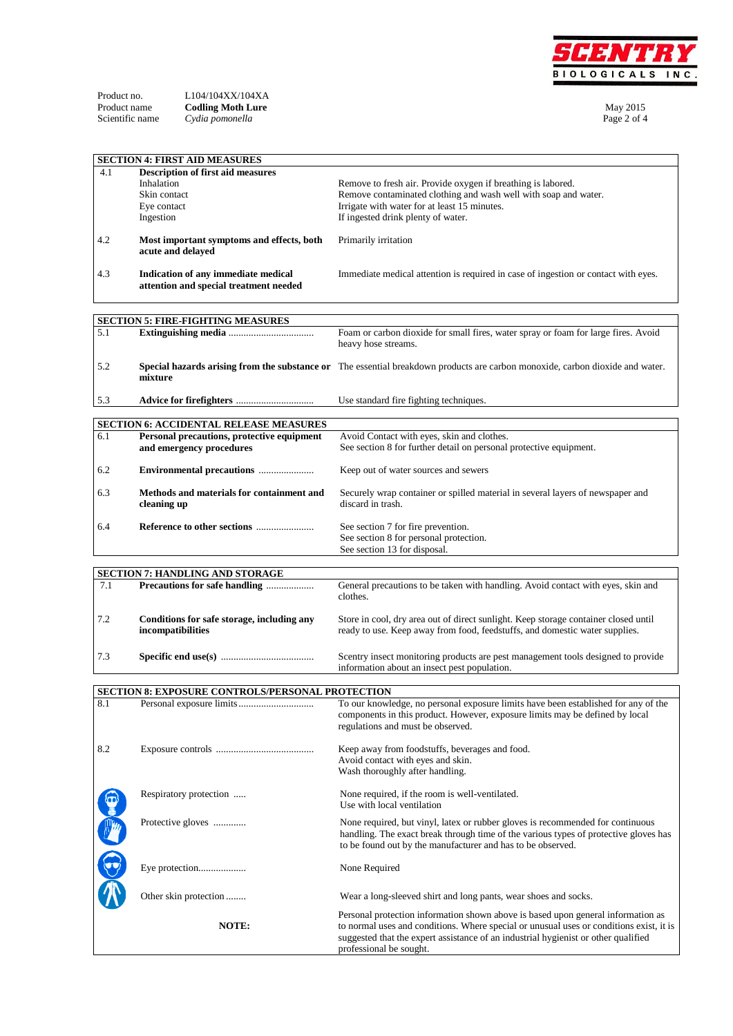

| - - - - - - - - - - - - | -------------------      |             |
|-------------------------|--------------------------|-------------|
| Product name            | <b>Codling Moth Lure</b> | May 2015    |
| Scientific name         | Cydia pomonella          | Page 2 of 4 |

|      | <b>SECTION 4: FIRST AID MEASURES</b>             |                                                                                                                               |
|------|--------------------------------------------------|-------------------------------------------------------------------------------------------------------------------------------|
| 4.1  | <b>Description of first aid measures</b>         |                                                                                                                               |
|      | Inhalation                                       | Remove to fresh air. Provide oxygen if breathing is labored.                                                                  |
|      | Skin contact                                     | Remove contaminated clothing and wash well with soap and water.                                                               |
|      | Eye contact                                      | Irrigate with water for at least 15 minutes.                                                                                  |
|      | Ingestion                                        | If ingested drink plenty of water.                                                                                            |
|      |                                                  |                                                                                                                               |
| 4.2  | Most important symptoms and effects, both        | Primarily irritation                                                                                                          |
|      | acute and delayed                                |                                                                                                                               |
|      |                                                  |                                                                                                                               |
| 4.3  | Indication of any immediate medical              | Immediate medical attention is required in case of ingestion or contact with eyes.                                            |
|      | attention and special treatment needed           |                                                                                                                               |
|      |                                                  |                                                                                                                               |
|      |                                                  |                                                                                                                               |
|      | <b>SECTION 5: FIRE-FIGHTING MEASURES</b>         |                                                                                                                               |
| 5.1  |                                                  | Foam or carbon dioxide for small fires, water spray or foam for large fires. Avoid                                            |
|      |                                                  | heavy hose streams.                                                                                                           |
|      |                                                  |                                                                                                                               |
| 5.2  |                                                  | Special hazards arising from the substance or The essential breakdown products are carbon monoxide, carbon dioxide and water. |
|      | mixture                                          |                                                                                                                               |
|      |                                                  |                                                                                                                               |
| 5.3  |                                                  | Use standard fire fighting techniques.                                                                                        |
|      |                                                  |                                                                                                                               |
|      | SECTION 6: ACCIDENTAL RELEASE MEASURES           |                                                                                                                               |
| 6.1  | Personal precautions, protective equipment       | Avoid Contact with eyes, skin and clothes.                                                                                    |
|      | and emergency procedures                         | See section 8 for further detail on personal protective equipment.                                                            |
|      |                                                  |                                                                                                                               |
| 6.2  | Environmental precautions                        | Keep out of water sources and sewers                                                                                          |
|      |                                                  |                                                                                                                               |
| 6.3  | Methods and materials for containment and        | Securely wrap container or spilled material in several layers of newspaper and                                                |
|      | cleaning up                                      | discard in trash.                                                                                                             |
|      |                                                  |                                                                                                                               |
| 6.4  |                                                  | See section 7 for fire prevention.                                                                                            |
|      |                                                  | See section 8 for personal protection.                                                                                        |
|      |                                                  | See section 13 for disposal.                                                                                                  |
|      |                                                  |                                                                                                                               |
|      |                                                  |                                                                                                                               |
|      |                                                  |                                                                                                                               |
| 7.1  | <b>SECTION 7: HANDLING AND STORAGE</b>           |                                                                                                                               |
|      | Precautions for safe handling                    | General precautions to be taken with handling. Avoid contact with eyes, skin and<br>clothes.                                  |
|      |                                                  |                                                                                                                               |
| 7.2  |                                                  |                                                                                                                               |
|      | Conditions for safe storage, including any       | Store in cool, dry area out of direct sunlight. Keep storage container closed until                                           |
|      | incompatibilities                                | ready to use. Keep away from food, feedstuffs, and domestic water supplies.                                                   |
|      |                                                  |                                                                                                                               |
| 7.3  |                                                  | Scentry insect monitoring products are pest management tools designed to provide                                              |
|      |                                                  | information about an insect pest population.                                                                                  |
|      |                                                  |                                                                                                                               |
|      | SECTION 8: EXPOSURE CONTROLS/PERSONAL PROTECTION |                                                                                                                               |
| 8.1  |                                                  | To our knowledge, no personal exposure limits have been established for any of the                                            |
|      |                                                  | components in this product. However, exposure limits may be defined by local                                                  |
|      |                                                  | regulations and must be observed.                                                                                             |
|      |                                                  |                                                                                                                               |
| 8.2  |                                                  | Keep away from foodstuffs, beverages and food.                                                                                |
|      |                                                  | Avoid contact with eyes and skin.                                                                                             |
|      |                                                  | Wash thoroughly after handling.                                                                                               |
|      |                                                  |                                                                                                                               |
|      | Respiratory protection                           | None required, if the room is well-ventilated.                                                                                |
|      |                                                  | Use with local ventilation                                                                                                    |
|      | Protective gloves                                | None required, but vinyl, latex or rubber gloves is recommended for continuous                                                |
|      |                                                  | handling. The exact break through time of the various types of protective gloves has                                          |
|      |                                                  |                                                                                                                               |
|      |                                                  | to be found out by the manufacturer and has to be observed.                                                                   |
|      |                                                  | None Required                                                                                                                 |
|      | Eye protection                                   |                                                                                                                               |
| E CO |                                                  |                                                                                                                               |
|      | Other skin protection                            | Wear a long-sleeved shirt and long pants, wear shoes and socks.                                                               |
|      |                                                  |                                                                                                                               |
|      |                                                  | Personal protection information shown above is based upon general information as                                              |
|      | NOTE:                                            | to normal uses and conditions. Where special or unusual uses or conditions exist, it is                                       |
|      |                                                  | suggested that the expert assistance of an industrial hygienist or other qualified<br>professional be sought.                 |

Product no. L104/104XX/104XA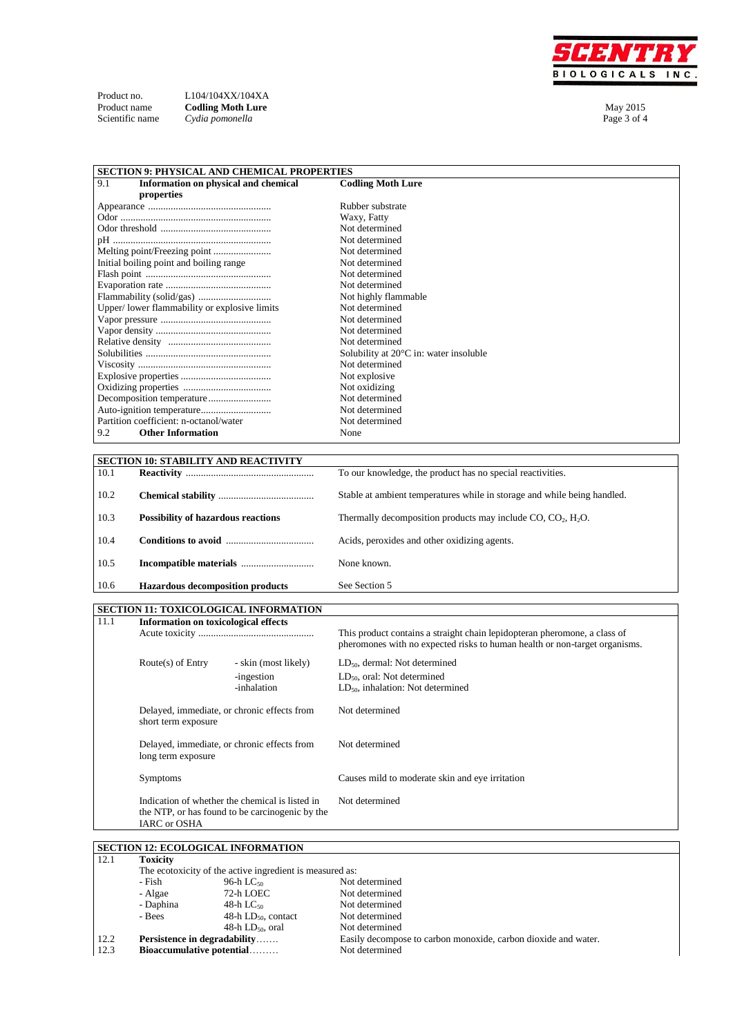

| Product no.     | L104/104XX/104XA         |             |
|-----------------|--------------------------|-------------|
| Product name    | <b>Codling Moth Lure</b> | May 2015    |
| Scientific name | Cydia pomonella          | Page 3 of 4 |

Product no. L104/104XX/104XA

| <b>SECTION 9: PHYSICAL AND CHEMICAL PROPERTIES</b> |                                                  |  |
|----------------------------------------------------|--------------------------------------------------|--|
| 9.1<br>Information on physical and chemical        | <b>Codling Moth Lure</b>                         |  |
| properties                                         |                                                  |  |
|                                                    | Rubber substrate                                 |  |
|                                                    | Waxy, Fatty                                      |  |
|                                                    | Not determined                                   |  |
|                                                    | Not determined                                   |  |
|                                                    | Not determined                                   |  |
| Initial boiling point and boiling range            | Not determined                                   |  |
|                                                    | Not determined                                   |  |
|                                                    | Not determined                                   |  |
|                                                    | Not highly flammable                             |  |
| Upper/lower flammability or explosive limits       | Not determined                                   |  |
|                                                    | Not determined                                   |  |
|                                                    | Not determined                                   |  |
|                                                    | Not determined                                   |  |
|                                                    | Solubility at $20^{\circ}$ C in: water insoluble |  |
|                                                    | Not determined                                   |  |
|                                                    | Not explosive                                    |  |
|                                                    | Not oxidizing                                    |  |
|                                                    | Not determined                                   |  |
|                                                    | Not determined                                   |  |
| Partition coefficient: n-octanol/water             | Not determined                                   |  |
| <b>Other Information</b><br>9.2                    | None                                             |  |
|                                                    |                                                  |  |

| <b>SECTION 10: STABILITY AND REACTIVITY</b> |                                           |                                                                          |  |
|---------------------------------------------|-------------------------------------------|--------------------------------------------------------------------------|--|
| 10.1                                        |                                           | To our knowledge, the product has no special reactivities.               |  |
|                                             |                                           |                                                                          |  |
| 10.2                                        |                                           | Stable at ambient temperatures while in storage and while being handled. |  |
|                                             |                                           |                                                                          |  |
| 10.3                                        | <b>Possibility of hazardous reactions</b> | Thermally decomposition products may include $CO$ , $CO2$ , $H2O$ .      |  |
|                                             |                                           |                                                                          |  |
| 10.4                                        |                                           | Acids, peroxides and other oxidizing agents.                             |  |
|                                             |                                           |                                                                          |  |
| 10.5                                        |                                           | None known.                                                              |  |
|                                             |                                           |                                                                          |  |
| 10.6                                        | <b>Hazardous decomposition products</b>   | See Section 5                                                            |  |

## **SECTION 11: TOXICOLOGICAL INFORMATION**

| 11.1 | Information on toxicological effects                                                                                      | This product contains a straight chain lepidopteran pheromone, a class of<br>pheromones with no expected risks to human health or non-target organisms. |  |
|------|---------------------------------------------------------------------------------------------------------------------------|---------------------------------------------------------------------------------------------------------------------------------------------------------|--|
|      | Route(s) of Entry<br>- skin (most likely)<br>-ingestion<br>-inhalation                                                    | $LD_{50}$ , dermal: Not determined<br>$LD_{50}$ , oral: Not determined<br>$LD_{50}$ , inhalation: Not determined                                        |  |
|      | Delayed, immediate, or chronic effects from<br>short term exposure                                                        | Not determined                                                                                                                                          |  |
|      | Delayed, immediate, or chronic effects from<br>long term exposure                                                         | Not determined                                                                                                                                          |  |
|      | <b>Symptoms</b>                                                                                                           | Causes mild to moderate skin and eye irritation                                                                                                         |  |
|      | Indication of whether the chemical is listed in<br>the NTP, or has found to be carcinogenic by the<br><b>IARC</b> or OSHA | Not determined                                                                                                                                          |  |

## **SECTION 12: ECOLOGICAL INFORMATION**

| 12.1 | <b>Toxicity</b>                                          |                          |                                                                |
|------|----------------------------------------------------------|--------------------------|----------------------------------------------------------------|
|      | The ecotoxicity of the active ingredient is measured as: |                          |                                                                |
|      | - Fish                                                   | 96-h L $C_{50}$          | Not determined                                                 |
|      | - Algae                                                  | 72-h LOEC                | Not determined                                                 |
|      | - Daphina                                                | $48-h$ LC <sub>50</sub>  | Not determined                                                 |
|      | - Bees                                                   | 48-h $LD_{50}$ , contact | Not determined                                                 |
|      |                                                          | 48-h $LD_{50}$ , oral    | Not determined                                                 |
| 12.2 | Persistence in degradability                             |                          | Easily decompose to carbon monoxide, carbon dioxide and water. |
| 12.3 | Bioaccumulative potential                                |                          | Not determined                                                 |